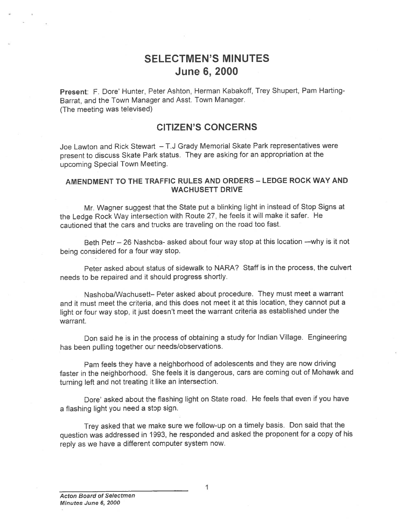# SELECTMEN'S MINUTES June 6, 2000

Present: F. Dore' Hunter, Peter Ashton, Herman Kabakoff, Trey Shupert, Pam Harting-Barrat, and the Town Manager and Asst. Town Manager. (The meeting was televised)

### CITIZEN'S CONCERNS

Joe Lawton and Rick Stewart — T.J Grady Memorial Skate Park representatives were presen<sup>t</sup> to discuss Skate Park status. They are asking for an appropriation at the upcoming Special Town Meeting.

### AMENDMENT TO THE TRAFFIC RULES AND ORDERS - LEDGE ROCK WAY AND WACHUSETT DRIVE

Mr. Wagner sugges<sup>t</sup> that the State pu<sup>t</sup> <sup>a</sup> blinking light in instead of Stop Signs at the Ledge Rock Way intersection with Route 27, he feels it will make it safer. He cautioned that the cars and trucks are traveling on the road too fast.

Beth Petr — 26 Nashoba- asked about four way stop at this location —why is it not being considered for <sup>a</sup> four way stop.

Peter asked about status of sidewalk to NARA? Staff is in the process, the culvert needs to be repaired and it should progress shortly.

Nashoba/Wachusett— Peter asked about procedure. They must meet <sup>a</sup> warrant and it must meet the criteria, and this does not meet it at this location, they cannot pu<sup>t</sup> <sup>a</sup> light or four way stop, it just doesn't meet the warrant criteria as established under the warrant.

Don said he is in the process of obtaining <sup>a</sup> study for Indian Village. Engineering has been pulling together our needs/observations.

Pam feels they have <sup>a</sup> neighborhood of adolescents and they are now driving faster in the neighborhood. She feels it is dangerous, cars are coming out of Mohawk and turning left and not treating it like an intersection.

Dore' asked about the flashing light on State road. He feels that even if you have <sup>a</sup> flashing light you need <sup>a</sup> stop sign.

Trey asked that we make sure we follow-up on <sup>a</sup> timely basis. Don said that the question was addressed in 1993, he responded and asked the proponen<sup>t</sup> for <sup>a</sup> copy of his reply as we have <sup>a</sup> different computer system now.

1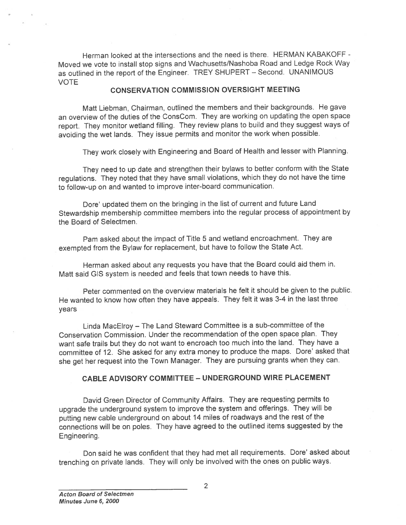Herman looked at the intersections and the need is there. HERMAN KABAKOFF - Moved we vote to install stop signs and Wachusetts/Nashoba Road and Ledge Rock Way as outlined in the repor<sup>t</sup> of the Engineer. TREY SHUPERT — Second. UNANIMOUS VOTE

### CONSERVATION COMMISSION OVERSIGHT MEETING

Matt Liebman, Chairman, outlined the members and their backgrounds. He gave an overview of the duties of the ConsCom. They are working on updating the open space report. They monitor wetland filling. They review <sup>p</sup>lans to build and they sugges<sup>t</sup> ways of avoiding the wet lands. They issue permits and monitor the work when possible.

They work closely with Engineering and Board of Health and lesser with Planning.

They need to up date and strengthen their bylaws to better conform with the State regulations. They noted that they have small violations, which they do not have the time to follow-up on and wanted to improve inter-board communication.

Dore' updated them on the bringing in the list of current and future Land Stewardship membership committee members into the regular process of appointment by the Board of Selectmen.

Pam asked about the impact of Title <sup>5</sup> and wetland encroachment. They are exempted from the Bylaw for replacement, but have to follow the State Act.

Herman asked about any requests you have that the Board could aid them in. Matt said GIS system is needed and feels that town needs to have this.

Peter commented on the overview materials he felt it should be given to the public. He wanted to know how often they have appeals. They felt it was 3-4 in the last three years

Linda MacElroy — The Land Steward Committee is <sup>a</sup> sub-committee of the Conservation Commission. Under the recommendation of the open space plan. They want safe trails but they do not want to encroach too much into the land. They have <sup>a</sup> committee of 12. She asked for any extra money to produce the maps. Dote' asked that she ge<sup>t</sup> her reques<sup>t</sup> into the Town Manager. They are pursuing grants when they can.

### CABLE ADVISORY COMMITTEE — UNDERGROUND WIRE PLACEMENT

David Green Director of Community Affairs. They are requesting permits to upgrade the underground system to improve the system and offerings. They will be putting new cable underground on about <sup>14</sup> miles of roadways and the rest of the connections will be on poles. They have agree<sup>d</sup> to the outlined items suggested by the Engineering.

Don said he was confident that they had met all requirements. Dote' asked about trenching on private lands. They will only be involved with the ones on public ways.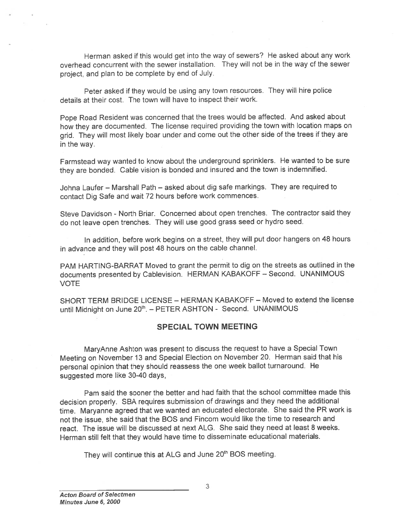Herman asked if this would ge<sup>t</sup> into the way of sewers? He asked about any work overhead concurrent with the sewer installation. They will not be in the way of the sewer project, and <sup>p</sup>lan to be complete by end of July.

Peter asked if they would be using any town resources. They will hire police details at their cost. The town will have to inspect their work.

Pope Road Resident was concerned that the trees would be affected. And asked about how they are documented. The license required providing the town with location maps on grid. They will most likely boar under and come out the other side of the trees if they are in the way.

Farmstead way wanted to know about the underground sprinklers. He wanted to be sure they are bonded. Cable vision is bonded and insured and the town is indemnified.

Johna Laufer — Marshall Path — asked about dig safe markings. They are required to contact Dig Safe and wait <sup>72</sup> hours before work commences.

Steve Davidson - North Briar. Concerned about open trenches. The contractor said they do not leave open trenches. They will use goo<sup>d</sup> grass seed or hydro seed.

In addition, before work begins on <sup>a</sup> street, they will pu<sup>t</sup> door hangers on <sup>48</sup> hours in advance and they will pos<sup>t</sup> <sup>48</sup> hours on the cable channel.

PAM HARTING-BARRAT Moved to gran<sup>t</sup> the permit to dig on the streets as outlined in the documents presented by Cablevision. HERMAN KABAKOFF — Second. UNANIMOUS VOTE

SHORT TERM BRIDGE LICENSE — HERMAN KABAKOFF — Moved to extend the license until Midnight on June 20<sup>th</sup>. – PETER ASHTON - Second. UNANIMOUS

### SPECIAL TOWN MEETING

MaryAnne Ashton was presen<sup>t</sup> to discuss the reques<sup>t</sup> to have <sup>a</sup> Special Town Meeting on November <sup>13</sup> and Special Election on November 20. Herman said that his persona<sup>l</sup> opinion that they should reassess the one week ballot turnaround. He suggested more like 30-40 days,

Pam said the sooner the better and had faith that the school committee made this decision properly. SBA requires submission of drawings and they need the additional time. Maryanne agree<sup>d</sup> that we wanted an educated electorate. She said the PR work is not the issue, she said that the BOS and Fincom would like the time to research and react. The issue will be discussed at next ALG. She said they need at least 8 weeks. Herman still felt that they would have time to disseminate educational materials.

They will continue this at ALG and June 20<sup>th</sup> BOS meeting.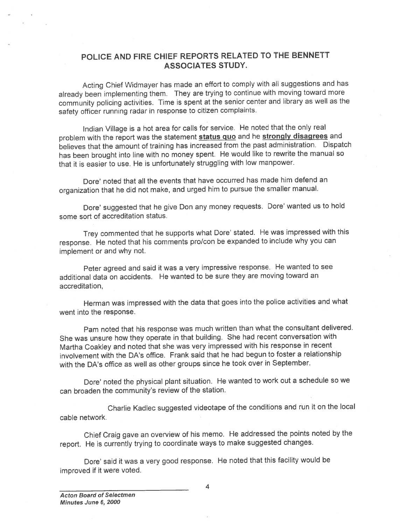### POLICE AND FIRE CHIEF REPORTS RELATED TO THE BENNETT ASSOCIATES STUDY.

Acting Chief Widmayer has made an effort to comply with all suggestions and has already been implementing them. They are trying to continue with moving toward more community policing activities. Time is spen<sup>t</sup> at the senior center and library as well as the safety officer running radar in response to citizen complaints.

Indian Village is <sup>a</sup> hot area for calls for service. He noted that the only real problem with the report was the statement status quo and he strongly disagrees and believes that the amount of training has increased from the past administration. Dispatch has been brought into line with no money spent. He would like to rewrite the manual so that it is easier to use. He is unfortunately struggling with low manpower.

Dore' noted that all the events that have occurred has made him defend an organization that he did not make, and urge<sup>d</sup> him to pursue the smaller manual.

Dore' suggested that he give Don any money requests. Dore' wanted us to hold some sort of accreditation status.

Trey commented that he supports what Dore' stated. He was impressed with this response. He noted that his comments pro/con be expanded to include why you can implement or and why not.

Peter agree<sup>d</sup> and said it was <sup>a</sup> very impressive response. He wanted to see additional data on accidents. He wanted to be sure they are moving toward an accreditation

Herman was impressed with the data that goes into the police activities and what went into the response.

Pam noted that his response was much written than what the consultant delivered. She was unsure how they operate in that building. She had recent conversation with Martha Coakley and noted that she was very impressed with his response in recent involvement with the DA's office. Frank said that he had begun to foster <sup>a</sup> relationship with the DA's office as well as other groups since he took over in September.

Dote' noted the <sup>p</sup>hysical <sup>p</sup>lant situation. He wanted to work out <sup>a</sup> schedule so we can broaden the community's review of the station.

Charlie Kadlec suggested videotape of the conditions and run it on the local cable network.

Chief Craig gave an overview of his memo. He addressed the points noted by the report. He is currently trying to coordinate ways to make suggested changes.

Dore' said it was <sup>a</sup> very goo<sup>d</sup> response. He noted that this facility would be improved if it were voted.

4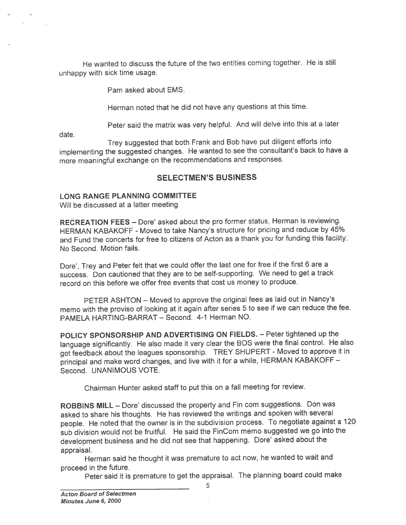He wanted to discuss the future of the two entities coming together. He is still unhappy with sick time usage.

Pam asked about EMS.

Herman noted that he did not have any questions at this time.

Peter said the matrix was very helpful. And will delve into this at <sup>a</sup> later

date.

Trey suggested that both Frank and Bob have pu<sup>t</sup> diligent efforts into implementing the suggested changes. He wanted to see the consultant's back to have <sup>a</sup> more meaningful exchange on the recommendations and responses.

### SELECTMEN'S BUSINESS

#### LONG RANGE PLANNING COMMITTEE

Will be discussed at <sup>a</sup> latter meeting

RECREATION FEES — Dote' asked about the pro former status, Herman is reviewing. HERMAN KABAKOFF -Moved to take Nancy's structure for pricing and reduce by 45% and Fund the concerts for free to citizens of Acton as <sup>a</sup> thank you for funding this facility. No Second. Motion fails.

Dore', Trey and Peter felt that we could offer the last one for free if the first 6 are a success. Don cautioned that they are to be self-supporting. We need to ge<sup>t</sup> <sup>a</sup> track record on this before we offer free events that cost us money to produce.

PETER ASHTON — Moved to approve the original fees as laid out in Nancy's memo with the proviso of looking at it again after series <sup>5</sup> to see if we can reduce the fee. PAMELA HARTING-BARRAT — Second. 4-1 Herman NO.

POLICY SPONSORSHIP AND ADVERTISING ON FIELDS. — Peter tightened up the language significantly. He also made it very clear the BOS were the final control. He also go<sup>t</sup> feedback about the leagues sponsorship. TREY SHUPERT -Moved to approve it in principal and make word changes, and live with it for <sup>a</sup> while, HERMAN KABAKOFF — Second. UNANIMOUS VOTE.

Chairman Hunter asked staff to pu<sup>t</sup> this on <sup>a</sup> fall meeting for review.

ROBBINS MILL - Dore' discussed the property and Fin com suggestions. Don was asked to share his thoughts. He has reviewed the writings and spoken with several people. He noted that the owner is in the subdivision process. To negotiate against <sup>a</sup> <sup>120</sup> sub division would not be fruitful. He said the FinCom memo suggested we go into the development business and he did not see that happening. Dore' asked about the appraisal.

Herman said he thought it was premature to act now, he wanted to wait and proceed in the future.

Peter said it is premature to ge<sup>t</sup> the appraisal. The <sup>p</sup>lanning board could make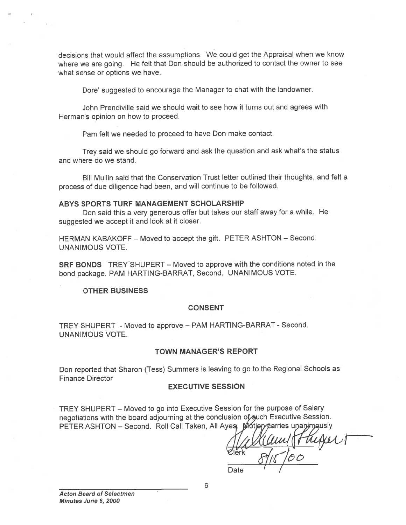decisions that would affect the assumptions. We could ge<sup>t</sup> the Appraisal when we know where we are going. He felt that Don should be authorized to contact the owner to see what sense or options we have.

Dore' suggested to encourage the Manager to chat with the landowner.

John Prendiville said we should wait to see how it turns out and agrees with Herman's opinion on how to proceed.

Pam felt we needed to proceed to have Don make contact.

Trey said we should go forward and ask the question and ask what's the status and where do we stand.

Bill Mullin said that the Conservation Trust letter outlined their thoughts, and felt <sup>a</sup> process of due diligence had been, and will continue to be followed.

#### ABYS SPORTS TURF MANAGEMENT SCHOLARSHIP

Don said this <sup>a</sup> very generous offer but takes our staff away for <sup>a</sup> while. He suggested we accep<sup>t</sup> it and look at it closet.

HERMAN KABAKOFF — Moved to accep<sup>t</sup> the gift. PETER ASHTON — Second. UNANIMOUS VOTE.

SRF BONDS TREY'SHUPERT - Moved to approve with the conditions noted in the bond package. PAM HARTING-BARRAT, Second. UNANIMOUS VOTE.

#### OTHER BUSINESS

#### CONSENT

TREY SHUPERT - Moved to approve - PAM HARTING-BARRAT - Second. UNANIMOUS VOTE.

#### TOWN MANAGER'S REPORT

Don reported that Sharon (Tess) Summers is leaving to go to the Regional Schools as Finance Director

#### EXECUTIVE SESSION

TREY SHUPERT — Moved to go into Executive Session for the purpose of Salary negotiations with the board adjourning at the conclusion of such Executive Session. PETER ASHTON – Second. Roll Call Taken, All Ayes.  $M$ otigy carries unanym gusly

Date I lerk

Acton Board of Selectmen Minutes June 6, 2000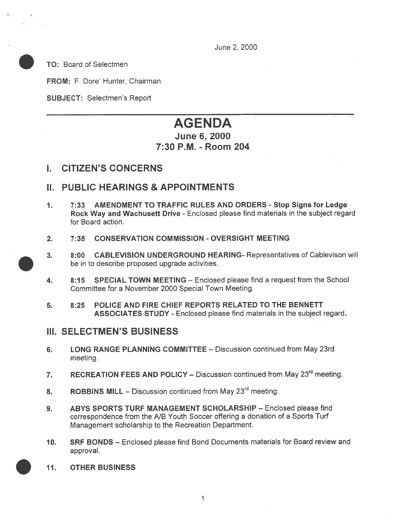June 2, 2000

TO: Board of Selectmen

FROM: F. Dore' Hunter, Chairman

SUBJECT: Selectmen's Report

# AGENDA June 6, 2000 7:30 P.M. -Room 204

## I. CITIZEN'S CONCERNS

# II. PUBLIC HEARINGS & APPOINTMENTS

- 1. 7:33 AMENDMENT TO TRAFFIC RULES AND ORDERS Stop Signs for Ledge Rock Way and Wachusett Drive - Enclosed <sup>p</sup>lease find materials in the subject regard for Board action.
- 2. 7:35 CONSERVATION COMMISSION OVERSIGHT MEETING
- 3. 8:00 CABLEVISION UNDERGROUND HEARING- Representatives of Cablevison will be in to describe proposed upgrade activities.
- 4. 8:15 SPECIAL TOWN MEETING Enclosed please find <sup>a</sup> reques<sup>t</sup> from the School Committee for <sup>a</sup> November 2000 Special Town Meeting.
- 5. 8:25 POLICE AND FIRE CHIEF REPORTS RELATED TO THE BENNETT ASSOCIATES STUDY - Enclosed please find materials in the subject regard.

## III. SELECTMEN'S BUSINESS

- 6. LONG RANGE PLANNING COMMITTEE Discussion continued from May 23rd meeting.
- 7. RECREATION FEES AND POLICY Discussion continued from May 23<sup>rd</sup> meeting.
- 8. ROBBINS MILL Discussion continued from May  $23<sup>rd</sup>$  meeting.
- 9. ABYS SPORTS TURF MANAGEMENT SCHOLARSHIP Enclosed please find correspondence from the NB Youth Soccer offering <sup>a</sup> donation of <sup>a</sup> Sports Turf Management scholarship to the Recreation Department.
- 10. SRF BONDS Enclosed <sup>p</sup>lease find Bond Documents materials for Board review and approval.
- 11. OTHER BUSINESS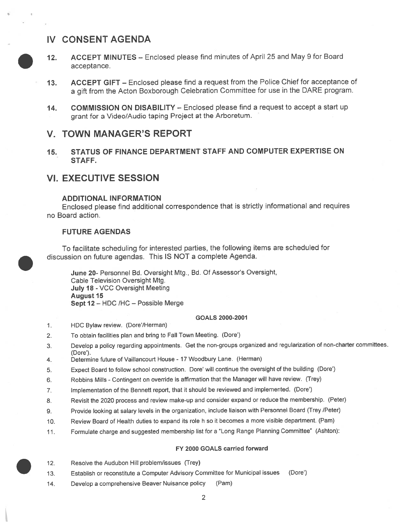# IV CONSENT AGENDA



- . 12. ACCEPT MINUTES Enclosed <sup>p</sup>lease find minutes of April 25 and May <sup>9</sup> for Board acceptance.
- 13. ACCEPT GIFT Enclosed <sup>p</sup>lease find <sup>a</sup> reques<sup>t</sup> from the Police Chief for acceptance of <sup>a</sup> <sup>g</sup>ift from the Acton Boxborough Celebration Committee for use in the DARE program.
- 14. COMMISSION ON DISABILITY Enclosed please find a request to accept a start up gran<sup>t</sup> for <sup>a</sup> Video/Audio taping Project at the Arboretum.

### V. TOWN MANAGER'S REPORT

15. STATUS OF FINANCE DEPARTMENT STAFF AND COMPUTER EXPERTISE ON STAFF.

# VI. EXECUTIVE SESSION

#### ADDITIONAL INFORMATION

Enclosed <sup>p</sup>lease find additional correspondence that is strictly informational and requires no Board action.

#### FUTURE AGENDAS

To facilitate scheduling for interested parties, the following items are scheduled for . discussion on future agendas. This IS NOT <sup>a</sup> complete Agenda.

June 20- Personnel Bd. Oversight Mtg., Bd. Of Assessor's Oversight, Cable Television Oversight Mtg. July 18 - VCC Oversight Meeting **August 15** Sept 12 — HDC /HC — Possible Merge

#### GOALS 2000-2001

- 1. HDC Bylaw review. (Dore'/Herman)
- 2. To obtain facilities <sup>p</sup>lan and bring to Fall Town Meeting. (Dote')
- 3. Develop <sup>a</sup> policy regarding appointments. Get the non-groups organized and regularization of non-charter committees. (Dore').
- 4. Determine future of Vaillancourt House 17 Woodbury Lane. (Herman)
- 5. Expect Board to follow school construction. Dore' will continue the oversight of the building (Dore')
- 6. Robbins Mills -Contingent on override is affirmation that the Manager will have review. (Ttey)
- 7. Implementation of the Bennett report, that it should be reviewed and implemented. (Dare')
- 8. Revisit the <sup>2020</sup> process and review make-up and consider expan<sup>d</sup> or reduce the membership. (Peter)
- 9. Provide looking at salary levels in the organization, include liaison with Personnel Board (Trey /Peter)
- 10. Review Board of Health duties to expand its role <sup>h</sup> so it becomes <sup>a</sup> more visible department. (Pam)
- 11. Formulate charge and suggested membership list for <sup>a</sup> "Long Range Planning Committee" (Ashton):

#### FY 2000 GOALS carried forward

- . 12. Resolve the Audubon Hill problem/issues (Trey)
- 13. Establish or reconstitute <sup>a</sup> Computer Advisory Committee for Municipal issues (Dote')
- 14. Develop <sup>a</sup> comprehensive Beaver Nuisance policy (Pam)